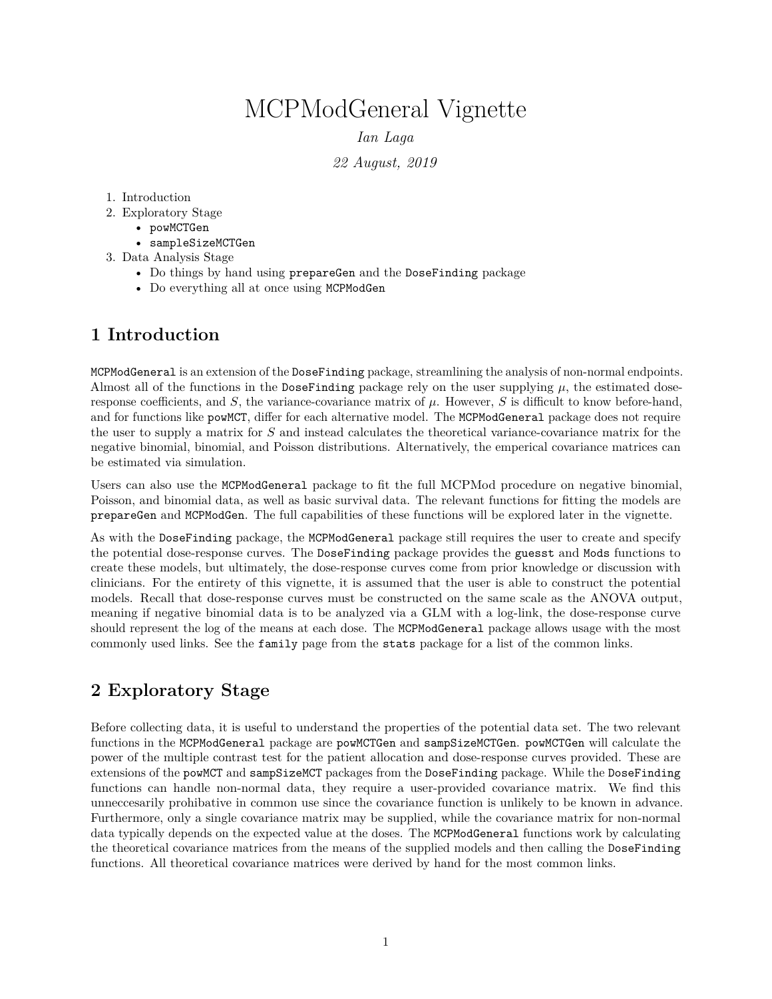# MCPModGeneral Vignette

*Ian Laga*

*22 August, 2019*

#### 1. Introduction

- 2. Exploratory Stage
	- powMCTGen
	- sampleSizeMCTGen
- 3. Data Analysis Stage
	- Do things by hand using prepareGen and the DoseFinding package
	- Do everything all at once using MCPModGen

## **1 Introduction**

MCPModGeneral is an extension of the DoseFinding package, streamlining the analysis of non-normal endpoints. Almost all of the functions in the DoseFinding package rely on the user supplying  $\mu$ , the estimated doseresponse coefficients, and  $S$ , the variance-covariance matrix of  $\mu$ . However,  $S$  is difficult to know before-hand, and for functions like powMCT, differ for each alternative model. The MCPModGeneral package does not require the user to supply a matrix for *S* and instead calculates the theoretical variance-covariance matrix for the negative binomial, binomial, and Poisson distributions. Alternatively, the emperical covariance matrices can be estimated via simulation.

Users can also use the MCPModGeneral package to fit the full MCPMod procedure on negative binomial, Poisson, and binomial data, as well as basic survival data. The relevant functions for fitting the models are prepareGen and MCPModGen. The full capabilities of these functions will be explored later in the vignette.

As with the DoseFinding package, the MCPModGeneral package still requires the user to create and specify the potential dose-response curves. The DoseFinding package provides the guesst and Mods functions to create these models, but ultimately, the dose-response curves come from prior knowledge or discussion with clinicians. For the entirety of this vignette, it is assumed that the user is able to construct the potential models. Recall that dose-response curves must be constructed on the same scale as the ANOVA output, meaning if negative binomial data is to be analyzed via a GLM with a log-link, the dose-response curve should represent the log of the means at each dose. The MCPModGeneral package allows usage with the most commonly used links. See the family page from the stats package for a list of the common links.

# **2 Exploratory Stage**

Before collecting data, it is useful to understand the properties of the potential data set. The two relevant functions in the MCPModGeneral package are powMCTGen and sampSizeMCTGen. powMCTGen will calculate the power of the multiple contrast test for the patient allocation and dose-response curves provided. These are extensions of the powMCT and sampSizeMCT packages from the DoseFinding package. While the DoseFinding functions can handle non-normal data, they require a user-provided covariance matrix. We find this unneccesarily prohibative in common use since the covariance function is unlikely to be known in advance. Furthermore, only a single covariance matrix may be supplied, while the covariance matrix for non-normal data typically depends on the expected value at the doses. The MCPModGeneral functions work by calculating the theoretical covariance matrices from the means of the supplied models and then calling the DoseFinding functions. All theoretical covariance matrices were derived by hand for the most common links.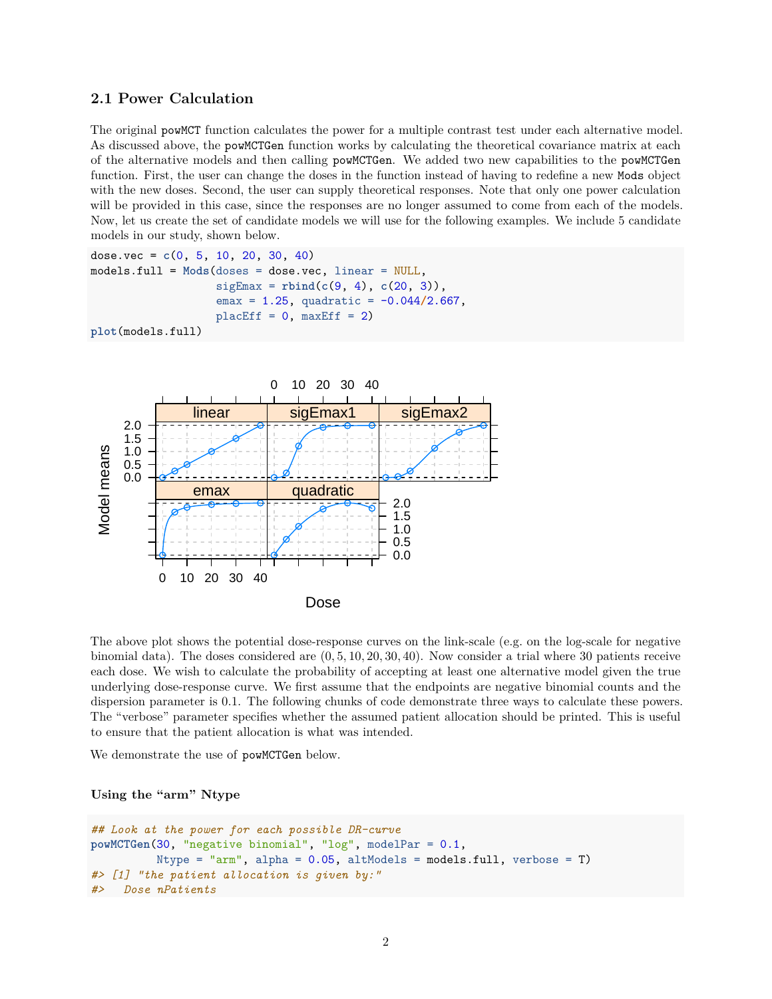## **2.1 Power Calculation**

The original powMCT function calculates the power for a multiple contrast test under each alternative model. As discussed above, the powMCTGen function works by calculating the theoretical covariance matrix at each of the alternative models and then calling powMCTGen. We added two new capabilities to the powMCTGen function. First, the user can change the doses in the function instead of having to redefine a new Mods object with the new doses. Second, the user can supply theoretical responses. Note that only one power calculation will be provided in this case, since the responses are no longer assumed to come from each of the models. Now, let us create the set of candidate models we will use for the following examples. We include 5 candidate models in our study, shown below.

```
dose.vec = c(0, 5, 10, 20, 30, 40)
models.full = Mods(doses = dose.vec, linear = NULL,
                   sigEnax = rbind(c(9, 4), c(20, 3)),emax = 1.25, quadratic = -0.044/2.667,
                   placeEff = 0, maxEff = 2)plot(models.full)
```


The above plot shows the potential dose-response curves on the link-scale (e.g. on the log-scale for negative binomial data). The doses considered are (0*,* 5*,* 10*,* 20*,* 30*,* 40). Now consider a trial where 30 patients receive each dose. We wish to calculate the probability of accepting at least one alternative model given the true underlying dose-response curve. We first assume that the endpoints are negative binomial counts and the dispersion parameter is 0.1. The following chunks of code demonstrate three ways to calculate these powers. The "verbose" parameter specifies whether the assumed patient allocation should be printed. This is useful to ensure that the patient allocation is what was intended.

We demonstrate the use of powMCTGen below.

## **Using the "arm" Ntype**

```
## Look at the power for each possible DR-curve
powMCTGen(30, "negative binomial", "log", modelPar = 0.1,
          Ntype = "arm", alpha = 0.05, altModels = models.full, verbose = T)
#> [1] "the patient allocation is given by:"
#> Dose nPatients
```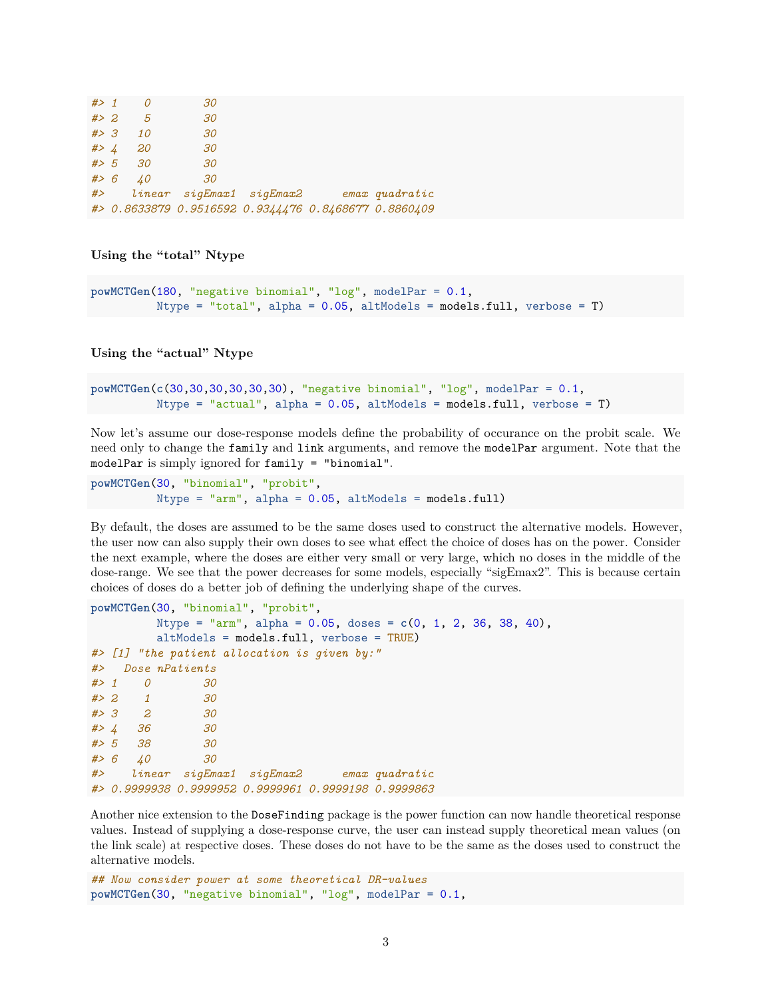| $#$ 1 |     | 30 |                                                      |  |
|-------|-----|----|------------------------------------------------------|--|
| # > 2 | - 5 | 30 |                                                      |  |
| # > 3 | 10  | 30 |                                                      |  |
| # > 4 | 20  | 30 |                                                      |  |
| # > 5 | 30  | 30 |                                                      |  |
| # > 6 | 40  | 30 |                                                      |  |
| # $>$ |     |    | linear sigEmax1 sigEmax2 emax quadratic              |  |
|       |     |    | #> 0.8633879 0.9516592 0.9344476 0.8468677 0.8860409 |  |

**Using the "total" Ntype**

```
powMCTGen(180, "negative binomial", "log", modelPar = 0.1,
          Ntype = "total", alpha = 0.05, altModels = models.full, verbose = T)
```
**Using the "actual" Ntype**

```
powMCTGen(c(30,30,30,30,30,30), "negative binomial", "log", modelPar = 0.1,
          Ntype = "actual", alpha = 0.05, altModels = models.full, verbose = T)
```
Now let's assume our dose-response models define the probability of occurance on the probit scale. We need only to change the family and link arguments, and remove the modelPar argument. Note that the modelPar is simply ignored for family = "binomial".

**powMCTGen**(30, "binomial", "probit", Ntype = "arm", alpha = 0.05, altModels = models.full)

By default, the doses are assumed to be the same doses used to construct the alternative models. However, the user now can also supply their own doses to see what effect the choice of doses has on the power. Consider the next example, where the doses are either very small or very large, which no doses in the middle of the dose-range. We see that the power decreases for some models, especially "sigEmax2". This is because certain choices of doses do a better job of defining the underlying shape of the curves.

```
powMCTGen(30, "binomial", "probit",
        Ntype = "arm", alpha = 0.05, doses = c(0, 1, 2, 36, 38, 40),
        altModels = models.full, verbose = TRUE)
#> [1] "the patient allocation is given by:"
#> Dose nPatients
#> 1 0 30
#> 2 1 30
#> 3 2 30
#> 4 36 30
#> 5 38 30
#> 6 40 30
#> linear sigEmax1 sigEmax2 emax quadratic
#> 0.9999938 0.9999952 0.9999961 0.9999198 0.9999863
```
Another nice extension to the DoseFinding package is the power function can now handle theoretical response values. Instead of supplying a dose-response curve, the user can instead supply theoretical mean values (on the link scale) at respective doses. These doses do not have to be the same as the doses used to construct the alternative models.

```
## Now consider power at some theoretical DR-values
powMCTGen(30, "negative binomial", "log", modelPar = 0.1,
```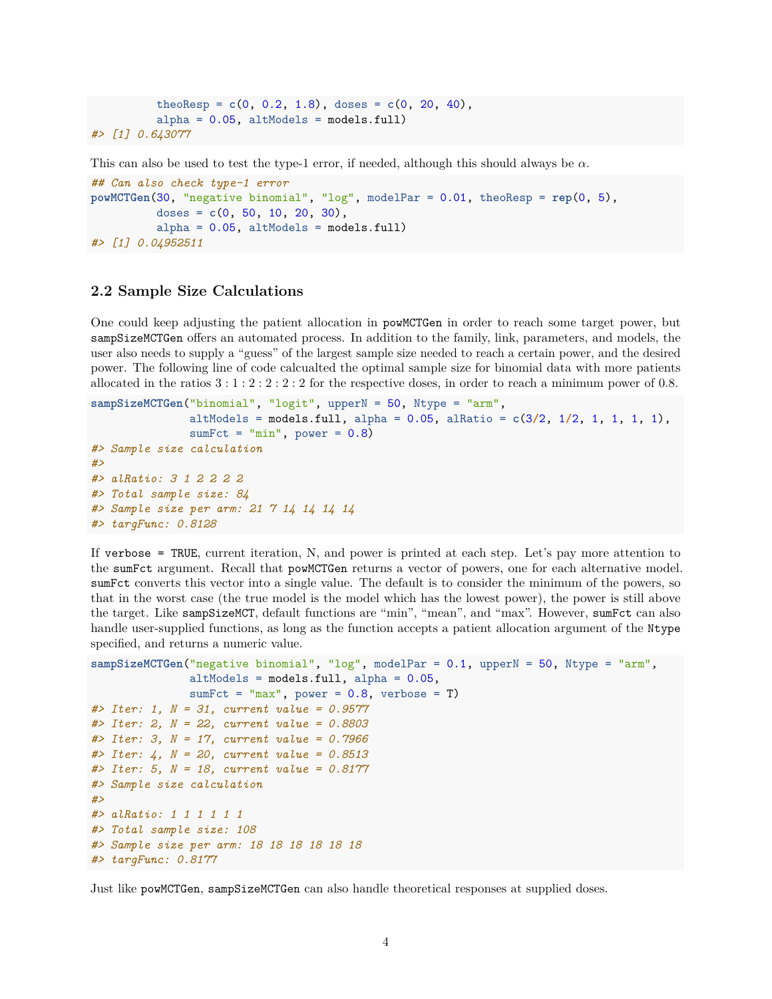```
theoResp = c(0, 0.2, 1.8), does = c(0, 20, 40),alpha = 0.05, altModels = models-full#> [1] 0.643077
```
This can also be used to test the type-1 error, if needed, although this should always be *α*.

```
## Can also check type-1 error
powMCTGen(30, "negative binomial", "log", modelPar = 0.01, theoResp = rep(0, 5),
          doses = c(0, 50, 10, 20, 30),
          alpha = 0.05, altModels = models-full#> [1] 0.04952511
```
## **2.2 Sample Size Calculations**

One could keep adjusting the patient allocation in powMCTGen in order to reach some target power, but sampSizeMCTGen offers an automated process. In addition to the family, link, parameters, and models, the user also needs to supply a "guess" of the largest sample size needed to reach a certain power, and the desired power. The following line of code calcualted the optimal sample size for binomial data with more patients allocated in the ratios 3 : 1 : 2 : 2 : 2 : 2 for the respective doses, in order to reach a minimum power of 0*.*8.

```
sampSizeMCTGen("binomial", "logit", upperN = 50, Ntype = "arm",
               altModels = models.full, alpha = 0.05, alRatio = c(3/2, 1/2, 1, 1, 1, 1),
               sumFct = "min", power = 0.8)#> Sample size calculation
#>
#> alRatio: 3 1 2 2 2 2
#> Total sample size: 84
#> Sample size per arm: 21 7 14 14 14 14
#> targFunc: 0.8128
```
If verbose = TRUE, current iteration, N, and power is printed at each step. Let's pay more attention to the sumFct argument. Recall that powMCTGen returns a vector of powers, one for each alternative model. sumFct converts this vector into a single value. The default is to consider the minimum of the powers, so that in the worst case (the true model is the model which has the lowest power), the power is still above the target. Like sampSizeMCT, default functions are "min", "mean", and "max". However, sumFct can also handle user-supplied functions, as long as the function accepts a patient allocation argument of the Ntype specified, and returns a numeric value.

```
sampSizeMCTGen("negative binomial", "log", modelPar = 0.1, upperN = 50, Ntype = "arm",
               altModels = models.full, alpha = 0.05,
               sumFct = "max", power = 0.8, verbose = T)
#> Iter: 1, N = 31, current value = 0.9577
#> Iter: 2, N = 22, current value = 0.8803
#> Iter: 3, N = 17, current value = 0.7966
#> Iter: 4, N = 20, current value = 0.8513
#> Iter: 5, N = 18, current value = 0.8177
#> Sample size calculation
#>
#> alRatio: 1 1 1 1 1 1
#> Total sample size: 108
#> Sample size per arm: 18 18 18 18 18 18
#> targFunc: 0.8177
```
Just like powMCTGen, sampSizeMCTGen can also handle theoretical responses at supplied doses.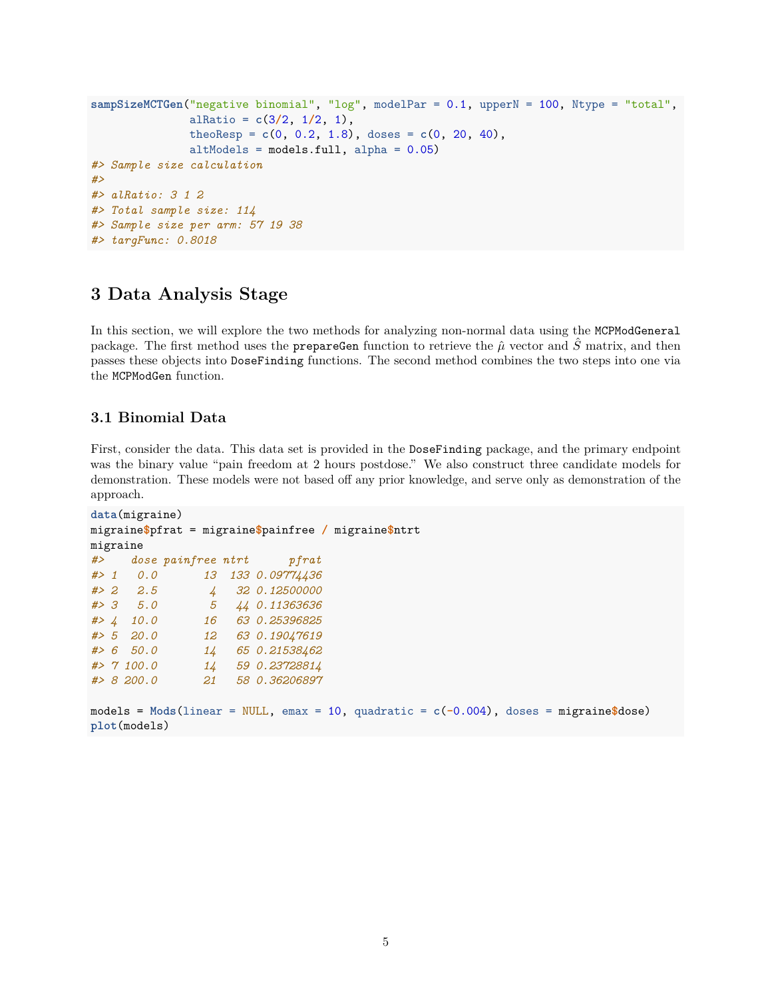```
sampSizeMCTGen("negative binomial", "log", modelPar = 0.1, upperN = 100, Ntype = "total",
               alRatio = c(3/2, 1/2, 1),
               theoResp = c(0, 0.2, 1.8), doses = c(0, 20, 40),
               altModels = models.full, alpha = 0.05)
#> Sample size calculation
#>
#> alRatio: 3 1 2
#> Total sample size: 114
#> Sample size per arm: 57 19 38
#> targFunc: 0.8018
```
## **3 Data Analysis Stage**

In this section, we will explore the two methods for analyzing non-normal data using the MCPModGeneral package. The first method uses the prepareGen function to retrieve the  $\hat{\mu}$  vector and  $\hat{S}$  matrix, and then passes these objects into DoseFinding functions. The second method combines the two steps into one via the MCPModGen function.

## **3.1 Binomial Data**

First, consider the data. This data set is provided in the DoseFinding package, and the primary endpoint was the binary value "pain freedom at 2 hours postdose." We also construct three candidate models for demonstration. These models were not based off any prior knowledge, and serve only as demonstration of the approach.

```
data(migraine)
migraine$pfrat = migraine$painfree / migraine$ntrt
migraine
#> dose painfree ntrt pfrat
#> 1 0.0 13 133 0.09774436
#> 2 2.5 4 32 0.12500000
#> 3 5.0 5 44 0.11363636
#> 4 10.0 16 63 0.25396825
#> 5 20.0 12 63 0.19047619
#> 6 50.0 14 65 0.21538462
#> 7 100.0 14 59 0.23728814
#> 8 200.0 21 58 0.36206897
```

```
models = Mods(linear = NULL, emax = 10, quadratic = c(-0.004), doses = migraine$dose)
plot(models)
```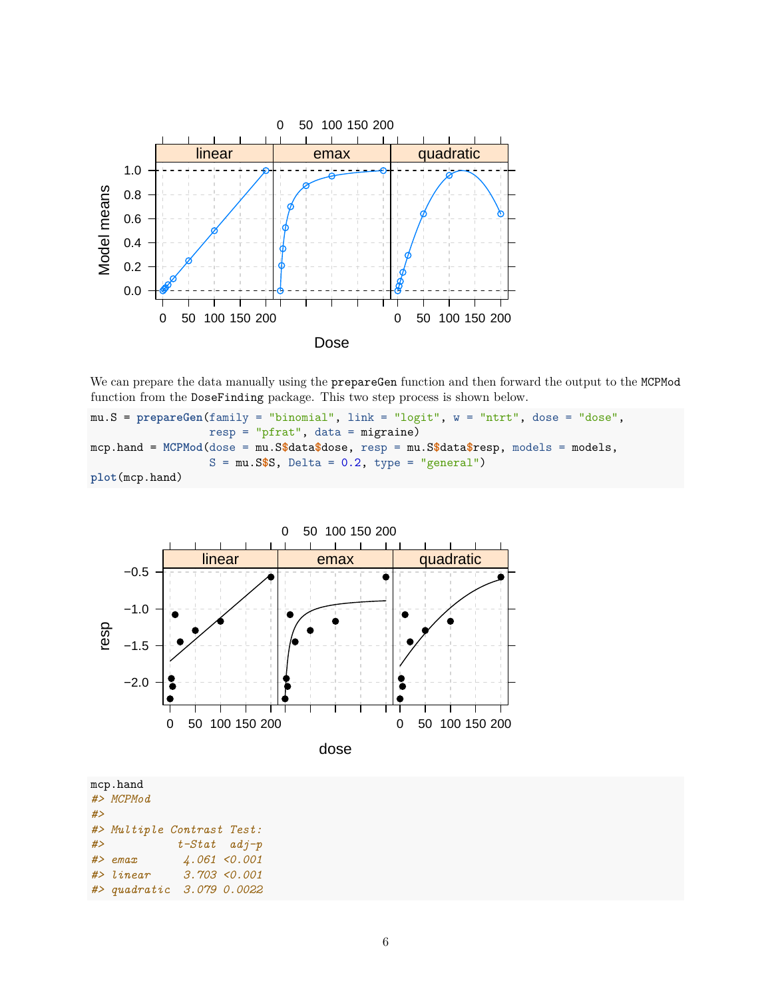

We can prepare the data manually using the prepareGen function and then forward the output to the MCPMod function from the DoseFinding package. This two step process is shown below.

mu.S = **prepareGen**(family = "binomial", link = "logit", w = "ntrt", dose = "dose", resp = "pfrat", data = migraine) mcp.hand = **MCPMod**(dose = mu.S**\$**data**\$**dose, resp = mu.S**\$**data**\$**resp, models = models,  $S = mu.S$ \$S, Delta =  $0.2$ , type = "general") **plot**(mcp.hand)



dose

|    | mcp.hand                   |                 |                |
|----|----------------------------|-----------------|----------------|
|    | #> MCPMod                  |                 |                |
| #> |                            |                 |                |
|    | #> Multiple Contrast Test: |                 |                |
| #> |                            | $t$ -Stat adj-p |                |
|    | $#$ > emax                 |                 | $4.061$ <0.001 |
|    | $#$ > linear               |                 | 3.703 < 0.001  |
|    | #> quadratic 3.079 0.0022  |                 |                |
|    |                            |                 |                |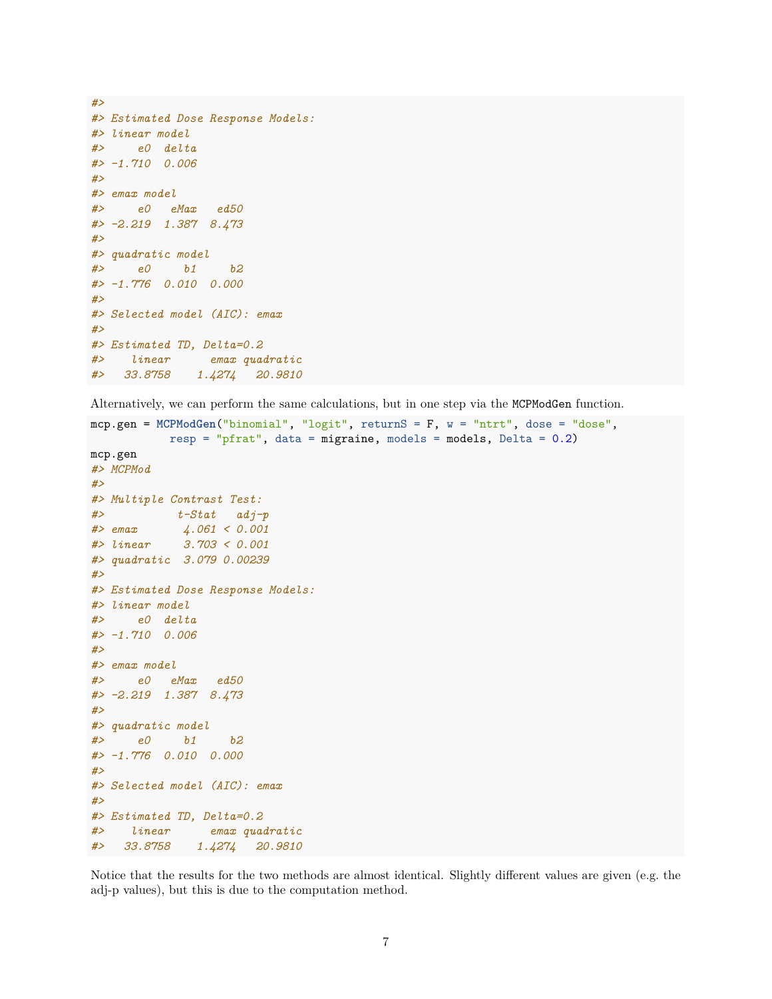```
#>
#> Estimated Dose Response Models:
#> linear model
#> e0 delta
#> -1.710 0.006
#>
#> emax model
#> e0 eMax ed50
#> -2.219 1.387 8.473
#>
#> quadratic model
#> e0 b1 b2
#> -1.776 0.010 0.000
#>
#> Selected model (AIC): emax
#>
#> Estimated TD, Delta=0.2
#> linear emax quadratic
#> 33.8758 1.4274 20.9810
```
Alternatively, we can perform the same calculations, but in one step via the MCPModGen function.

```
mcp.gen = MCPModGen("binomial", "logit", returnS = F, w = "ntrt", dose = "dose",
          resp = "pfrat", data = migraine, models = models, Delta = 0.2)
mcp.gen
#> MCPMod
#>
#> Multiple Contrast Test:
#> t-Stat adj-p
#> emax 4.061 < 0.001
#> linear 3.703 < 0.001
#> quadratic 3.079 0.00239
#>
#> Estimated Dose Response Models:
#> linear model
#> e0 delta
#> -1.710 0.006
#>
#> emax model
#> e0 eMax ed50
#> -2.219 1.387 8.473
#>
#> quadratic model
#> e0 b1 b2
#> -1.776 0.010 0.000
#>
#> Selected model (AIC): emax
#>
#> Estimated TD, Delta=0.2
#> linear emax quadratic
#> 33.8758 1.4274 20.9810
```
Notice that the results for the two methods are almost identical. Slightly different values are given (e.g. the adj-p values), but this is due to the computation method.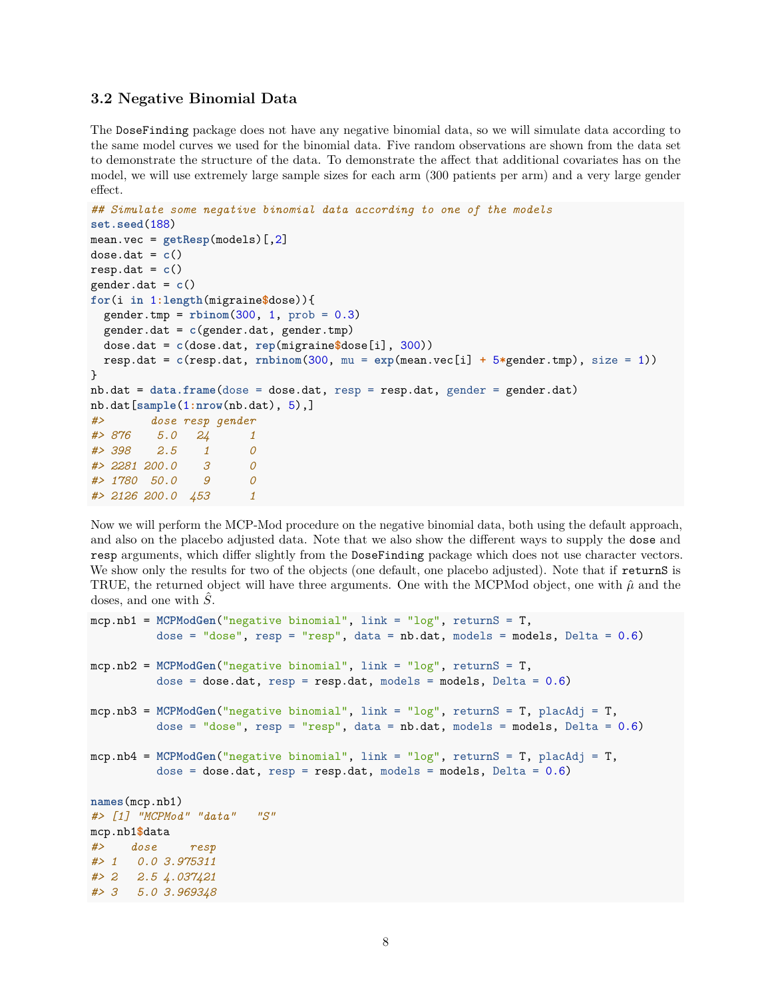#### **3.2 Negative Binomial Data**

The DoseFinding package does not have any negative binomial data, so we will simulate data according to the same model curves we used for the binomial data. Five random observations are shown from the data set to demonstrate the structure of the data. To demonstrate the affect that additional covariates has on the model, we will use extremely large sample sizes for each arm (300 patients per arm) and a very large gender effect.

```
## Simulate some negative binomial data according to one of the models
set.seed(188)
mean.vec = getResp(models)[,2]
dose.dat = c()resp. dat = c()gender.dat = c()
for(i in 1:length(migraine$dose)){
  gender.tmp = rbinom(300, 1, prob = 0.3)
  gender.dat = c(gender.dat, gender.tmp)
  dose.dat = c(dose.dat, rep(migraine$dose[i], 300))
  resp.dat = c(resp.dat, rnbinom(300, mu = exp(mean.vec[i] + 5*gender.tmp), size = 1))
}
nb.dat = data.frame(dose = dose.dat, resp = resp.dat, gender = gender.dat)
nb.dat[sample(1:nrow(nb.dat), 5),]
#> dose resp gender
#> 876 5.0 24 1
#> 398 2.5 1 0
#> 2281 200.0 3 0
#> 1780 50.0 9 0
#> 2126 200.0 453 1
```
Now we will perform the MCP-Mod procedure on the negative binomial data, both using the default approach, and also on the placebo adjusted data. Note that we also show the different ways to supply the dose and resp arguments, which differ slightly from the DoseFinding package which does not use character vectors. We show only the results for two of the objects (one default, one placebo adjusted). Note that if returnS is TRUE, the returned object will have three arguments. One with the MCPMod object, one with  $\hat{\mu}$  and the doses, and one with *S*ˆ.

```
mcp.nb1 = MCPModGen("negative binomial", link = "log", returnS = T,
          dose = "dose", resp = "resp", data = nb.data, models = models, Delta = 0.6)
mcp.nb2 = MCPModGen("negative binomial", link = "log", returnS = T,
          dose = dose.dat, resp = resp.data, models = models, Delta = 0.6)mcp.nb3 = MCPModGen("negative binomial", link = "log", returnS = T, placAdj = T,
          dose = "dose", resp = "resp", data = nb.data, models = models, Delta = 0.6)
mcp.nb4 = MCPModGen("negative binomial", link = "log", returnS = T, placAdj = T,
          dose = dose.dat, resp = resp.data, models = models, Delta = 0.6)names(mcp.nb1)
#> [1] "MCPMod" "data" "S"
mcp.nb1$data
#> dose resp
#> 1 0.0 3.975311
#> 2 2.5 4.037421
#> 3 5.0 3.969348
```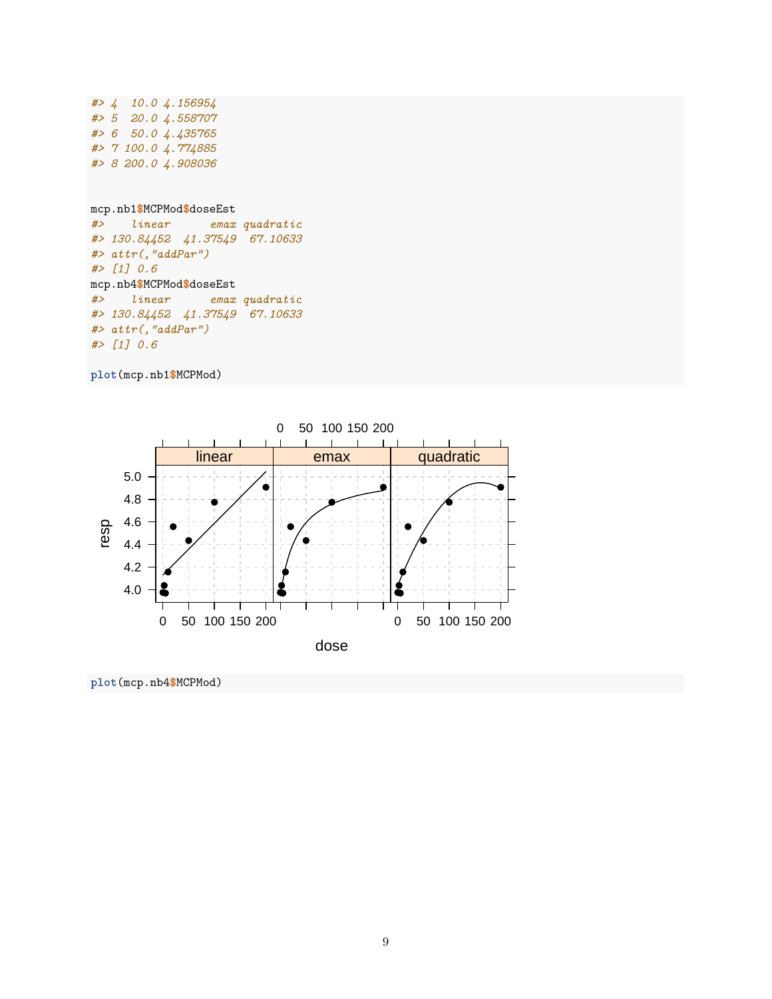```
#> 4 10.0 4.156954
#> 5 20.0 4.558707
#> 6 50.0 4.435765
#> 7 100.0 4.774885
#> 8 200.0 4.908036
mcp.nb1$MCPMod$doseEst
#> linear emax quadratic
#> 130.84452 41.37549 67.10633
#> attr(,"addPar")
#> [1] 0.6
mcp.nb4$MCPMod$doseEst
#> linear emax quadratic
#> 130.84452 41.37549 67.10633
#> attr(,"addPar")
#> [1] 0.6
```

```
plot(mcp.nb1$MCPMod)
```


**plot**(mcp.nb4**\$**MCPMod)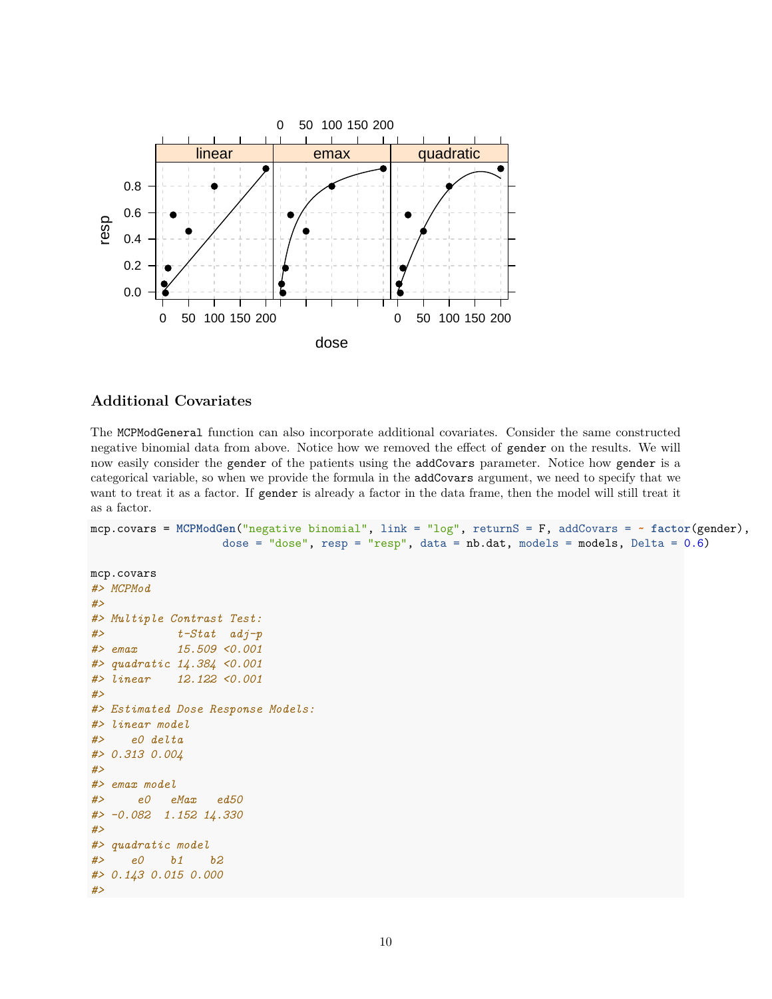

## **Additional Covariates**

The MCPModGeneral function can also incorporate additional covariates. Consider the same constructed negative binomial data from above. Notice how we removed the effect of gender on the results. We will now easily consider the gender of the patients using the addCovars parameter. Notice how gender is a categorical variable, so when we provide the formula in the addCovars argument, we need to specify that we want to treat it as a factor. If gender is already a factor in the data frame, then the model will still treat it as a factor.

```
mcp.covars = MCPModGen("negative binomial", link = "log", returnS = F, addCovars = ~ factor(gender),
                    dose = "dose", resp = "resp", data = nb.data, models = models, Delta = 0.6)
```

```
mcp.covars
#> MCPMod
#>
#> Multiple Contrast Test:
#> t-Stat adj-p
#> emax 15.509 <0.001
#> quadratic 14.384 <0.001
#> linear 12.122 <0.001
#>
#> Estimated Dose Response Models:
#> linear model
#> e0 delta
#> 0.313 0.004
#>
#> emax model
#> e0 eMax ed50
#> -0.082 1.152 14.330
#>
#> quadratic model
#> e0 b1 b2
#> 0.143 0.015 0.000
#>
```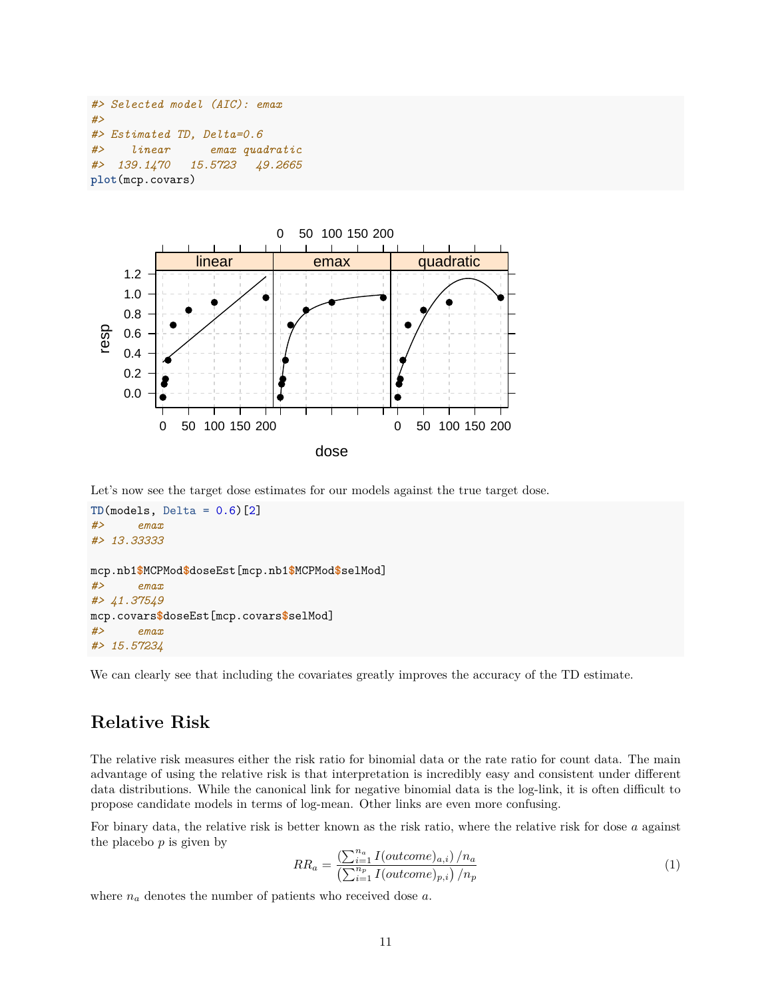```
#> Selected model (AIC): emax
#>
#> Estimated TD, Delta=0.6
#> linear emax quadratic
#> 139.1470 15.5723 49.2665
plot(mcp.covars)
```


Let's now see the target dose estimates for our models against the true target dose.

```
TD(models, Delta = 0.6)[2]
#> emax
#> 13.33333
mcp.nb1$MCPMod$doseEst[mcp.nb1$MCPMod$selMod]
#> emax
#> 41.37549
mcp.covars$doseEst[mcp.covars$selMod]
#> emax
#> 15.57234
```
We can clearly see that including the covariates greatly improves the accuracy of the TD estimate.

## **Relative Risk**

The relative risk measures either the risk ratio for binomial data or the rate ratio for count data. The main advantage of using the relative risk is that interpretation is incredibly easy and consistent under different data distributions. While the canonical link for negative binomial data is the log-link, it is often difficult to propose candidate models in terms of log-mean. Other links are even more confusing.

For binary data, the relative risk is better known as the risk ratio, where the relative risk for dose *a* against the placebo *p* is given by

$$
RR_a = \frac{\left(\sum_{i=1}^{n_a} I(outcome)_{a,i}\right)/n_a}{\left(\sum_{i=1}^{n_p} I(outcome)_{p,i}\right)/n_p} \tag{1}
$$

where *n<sup>a</sup>* denotes the number of patients who received dose *a*.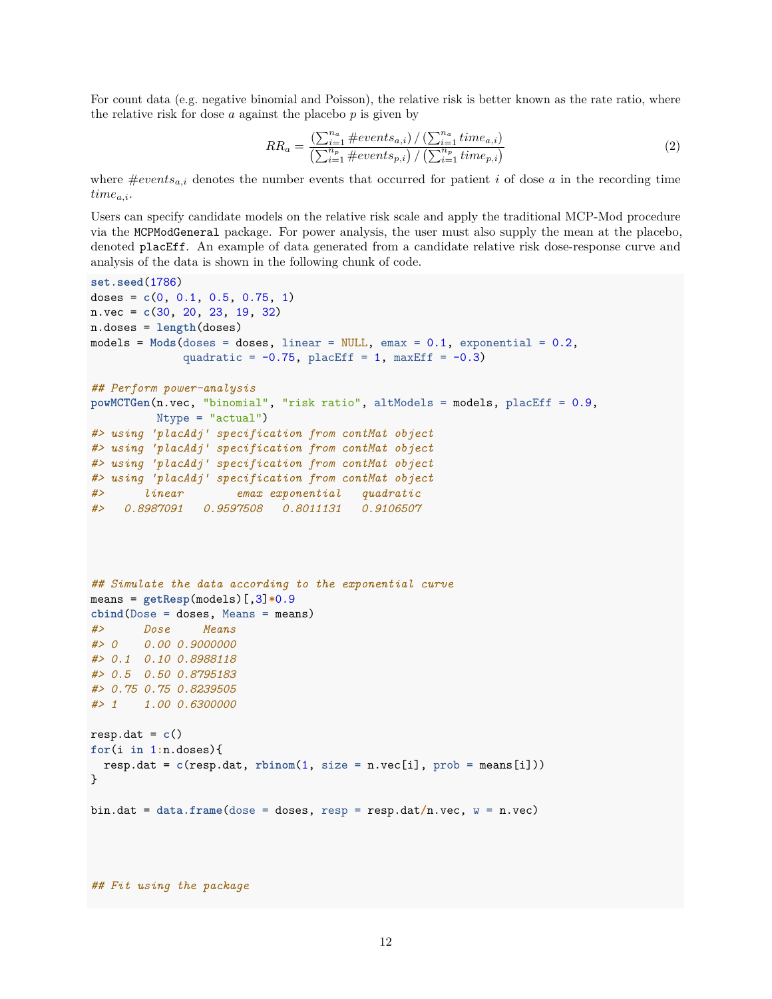For count data (e.g. negative binomial and Poisson), the relative risk is better known as the rate ratio, where the relative risk for dose *a* against the placebo *p* is given by

$$
RR_a = \frac{\left(\sum_{i=1}^{n_a} \#events_{a,i}\right) / \left(\sum_{i=1}^{n_a} time_{a,i}\right)}{\left(\sum_{i=1}^{n_p} \#events_{p,i}\right) / \left(\sum_{i=1}^{n_p} time_{p,i}\right)}\tag{2}
$$

where  $\#events_{a,i}$  denotes the number events that occurred for patient *i* of dose *a* in the recording time *timea,i*.

Users can specify candidate models on the relative risk scale and apply the traditional MCP-Mod procedure via the MCPModGeneral package. For power analysis, the user must also supply the mean at the placebo, denoted placEff. An example of data generated from a candidate relative risk dose-response curve and analysis of the data is shown in the following chunk of code.

```
set.seed(1786)
doses = c(0, 0.1, 0.5, 0.75, 1)
n.vec = c(30, 20, 23, 19, 32)
n.doses = length(doses)
models = Mods(doses = doses, linear = NULL, emax = 0.1, exponential = 0.2,
             quadratic = -0.75, placEff = 1, maxEff = -0.3)
## Perform power-analysis
powMCTGen(n.vec, "binomial", "risk ratio", altModels = models, placEff = 0.9,
         Ntype = "actual")#> using 'placAdj' specification from contMat object
#> using 'placAdj' specification from contMat object
#> using 'placAdj' specification from contMat object
#> using 'placAdj' specification from contMat object
#> linear emax exponential quadratic
#> 0.8987091 0.9597508 0.8011131 0.9106507
## Simulate the data according to the exponential curve
means = getResp(models) [, 3]*0.9cbind(Dose = doses, Means = means)
#> Dose Means
#> 0 0.00 0.9000000
#> 0.1 0.10 0.8988118
#> 0.5 0.50 0.8795183
#> 0.75 0.75 0.8239505
#> 1 1.00 0.6300000
resp. dat = c()for(i in 1:n.doses){
  resp.data = c(resp.data, rbinom(1, size = n.vec[i], prob = means[i]))}
bin.dat = data.frame(dose = doses, resp = resp.dat/n.vec, w = n.vec)
## Fit using the package
```